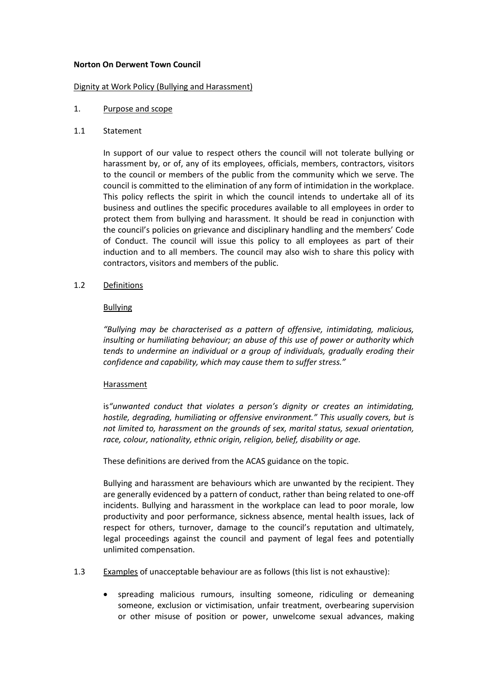#### **Norton On Derwent Town Council**

#### Dignity at Work Policy (Bullying and Harassment)

### 1. Purpose and scope

### 1.1 Statement

In support of our value to respect others the council will not tolerate bullying or harassment by, or of, any of its employees, officials, members, contractors, visitors to the council or members of the public from the community which we serve. The council is committed to the elimination of any form of intimidation in the workplace. This policy reflects the spirit in which the council intends to undertake all of its business and outlines the specific procedures available to all employees in order to protect them from bullying and harassment. It should be read in conjunction with the council's policies on grievance and disciplinary handling and the members' Code of Conduct. The council will issue this policy to all employees as part of their induction and to all members. The council may also wish to share this policy with contractors, visitors and members of the public.

### 1.2 Definitions

### Bullying

*"Bullying may be characterised as a pattern of offensive, intimidating, malicious, insulting or humiliating behaviour; an abuse of this use of power or authority which tends to undermine an individual or a group of individuals, gradually eroding their confidence and capability, which may cause them to suffer stress."*

### Harassment

is*"unwanted conduct that violates a person's dignity or creates an intimidating, hostile, degrading, humiliating or offensive environment." This usually covers, but is not limited to, harassment on the grounds of sex, marital status, sexual orientation, race, colour, nationality, ethnic origin, religion, belief, disability or age.*

These definitions are derived from the ACAS guidance on the topic.

Bullying and harassment are behaviours which are unwanted by the recipient. They are generally evidenced by a pattern of conduct, rather than being related to one-off incidents. Bullying and harassment in the workplace can lead to poor morale, low productivity and poor performance, sickness absence, mental health issues, lack of respect for others, turnover, damage to the council's reputation and ultimately, legal proceedings against the council and payment of legal fees and potentially unlimited compensation.

- 1.3 Examples of unacceptable behaviour are as follows (this list is not exhaustive):
	- spreading malicious rumours, insulting someone, ridiculing or demeaning someone, exclusion or victimisation, unfair treatment, overbearing supervision or other misuse of position or power, unwelcome sexual advances, making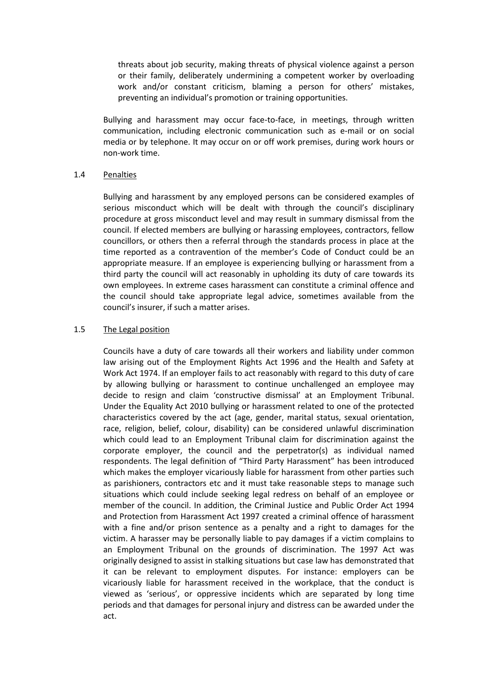threats about job security, making threats of physical violence against a person or their family, deliberately undermining a competent worker by overloading work and/or constant criticism, blaming a person for others' mistakes, preventing an individual's promotion or training opportunities.

Bullying and harassment may occur face-to-face, in meetings, through written communication, including electronic communication such as e-mail or on social media or by telephone. It may occur on or off work premises, during work hours or non-work time.

### 1.4 Penalties

Bullying and harassment by any employed persons can be considered examples of serious misconduct which will be dealt with through the council's disciplinary procedure at gross misconduct level and may result in summary dismissal from the council. If elected members are bullying or harassing employees, contractors, fellow councillors, or others then a referral through the standards process in place at the time reported as a contravention of the member's Code of Conduct could be an appropriate measure. If an employee is experiencing bullying or harassment from a third party the council will act reasonably in upholding its duty of care towards its own employees. In extreme cases harassment can constitute a criminal offence and the council should take appropriate legal advice, sometimes available from the council's insurer, if such a matter arises.

### 1.5 The Legal position

Councils have a duty of care towards all their workers and liability under common law arising out of the Employment Rights Act 1996 and the Health and Safety at Work Act 1974. If an employer fails to act reasonably with regard to this duty of care by allowing bullying or harassment to continue unchallenged an employee may decide to resign and claim 'constructive dismissal' at an Employment Tribunal. Under the Equality Act 2010 bullying or harassment related to one of the protected characteristics covered by the act (age, gender, marital status, sexual orientation, race, religion, belief, colour, disability) can be considered unlawful discrimination which could lead to an Employment Tribunal claim for discrimination against the corporate employer, the council and the perpetrator(s) as individual named respondents. The legal definition of "Third Party Harassment" has been introduced which makes the employer vicariously liable for harassment from other parties such as parishioners, contractors etc and it must take reasonable steps to manage such situations which could include seeking legal redress on behalf of an employee or member of the council. In addition, the Criminal Justice and Public Order Act 1994 and Protection from Harassment Act 1997 created a criminal offence of harassment with a fine and/or prison sentence as a penalty and a right to damages for the victim. A harasser may be personally liable to pay damages if a victim complains to an Employment Tribunal on the grounds of discrimination. The 1997 Act was originally designed to assist in stalking situations but case law has demonstrated that it can be relevant to employment disputes. For instance: employers can be vicariously liable for harassment received in the workplace, that the conduct is viewed as 'serious', or oppressive incidents which are separated by long time periods and that damages for personal injury and distress can be awarded under the act.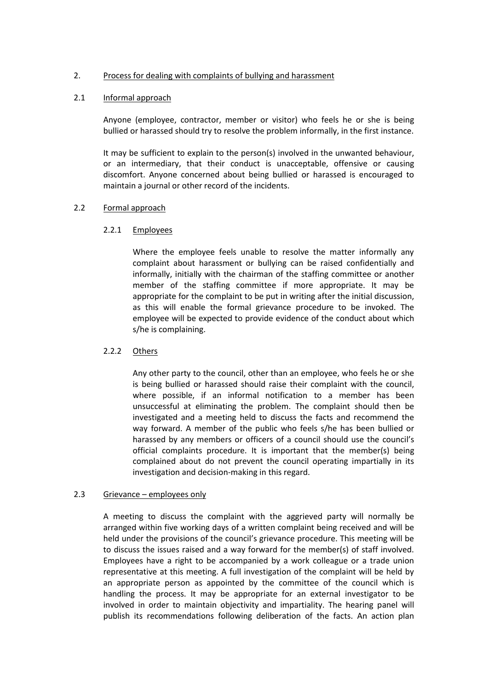### 2. Process for dealing with complaints of bullying and harassment

### 2.1 Informal approach

Anyone (employee, contractor, member or visitor) who feels he or she is being bullied or harassed should try to resolve the problem informally, in the first instance.

It may be sufficient to explain to the person(s) involved in the unwanted behaviour, or an intermediary, that their conduct is unacceptable, offensive or causing discomfort. Anyone concerned about being bullied or harassed is encouraged to maintain a journal or other record of the incidents.

# 2.2 Formal approach

# 2.2.1 Employees

Where the employee feels unable to resolve the matter informally any complaint about harassment or bullying can be raised confidentially and informally, initially with the chairman of the staffing committee or another member of the staffing committee if more appropriate. It may be appropriate for the complaint to be put in writing after the initial discussion, as this will enable the formal grievance procedure to be invoked. The employee will be expected to provide evidence of the conduct about which s/he is complaining.

# 2.2.2 Others

Any other party to the council, other than an employee, who feels he or she is being bullied or harassed should raise their complaint with the council, where possible, if an informal notification to a member has been unsuccessful at eliminating the problem. The complaint should then be investigated and a meeting held to discuss the facts and recommend the way forward. A member of the public who feels s/he has been bullied or harassed by any members or officers of a council should use the council's official complaints procedure. It is important that the member(s) being complained about do not prevent the council operating impartially in its investigation and decision-making in this regard.

### 2.3 Grievance – employees only

A meeting to discuss the complaint with the aggrieved party will normally be arranged within five working days of a written complaint being received and will be held under the provisions of the council's grievance procedure. This meeting will be to discuss the issues raised and a way forward for the member(s) of staff involved. Employees have a right to be accompanied by a work colleague or a trade union representative at this meeting. A full investigation of the complaint will be held by an appropriate person as appointed by the committee of the council which is handling the process. It may be appropriate for an external investigator to be involved in order to maintain objectivity and impartiality. The hearing panel will publish its recommendations following deliberation of the facts. An action plan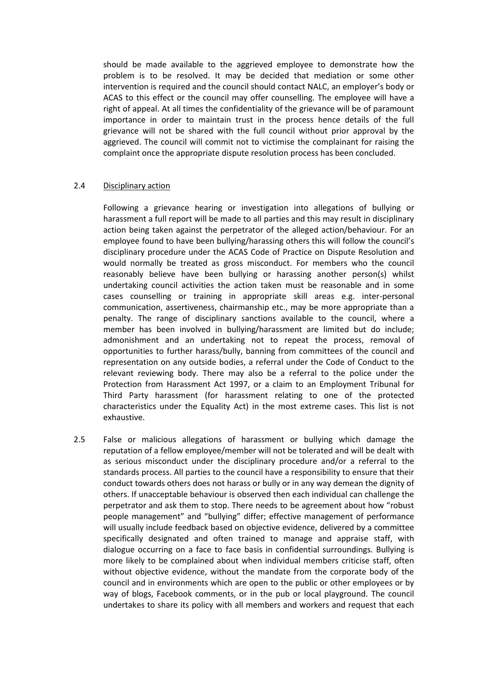should be made available to the aggrieved employee to demonstrate how the problem is to be resolved. It may be decided that mediation or some other intervention is required and the council should contact NALC, an employer's body or ACAS to this effect or the council may offer counselling. The employee will have a right of appeal. At all times the confidentiality of the grievance will be of paramount importance in order to maintain trust in the process hence details of the full grievance will not be shared with the full council without prior approval by the aggrieved. The council will commit not to victimise the complainant for raising the complaint once the appropriate dispute resolution process has been concluded.

### 2.4 Disciplinary action

Following a grievance hearing or investigation into allegations of bullying or harassment a full report will be made to all parties and this may result in disciplinary action being taken against the perpetrator of the alleged action/behaviour. For an employee found to have been bullying/harassing others this will follow the council's disciplinary procedure under the ACAS Code of Practice on Dispute Resolution and would normally be treated as gross misconduct. For members who the council reasonably believe have been bullying or harassing another person(s) whilst undertaking council activities the action taken must be reasonable and in some cases counselling or training in appropriate skill areas e.g. inter-personal communication, assertiveness, chairmanship etc., may be more appropriate than a penalty. The range of disciplinary sanctions available to the council, where a member has been involved in bullying/harassment are limited but do include; admonishment and an undertaking not to repeat the process, removal of opportunities to further harass/bully, banning from committees of the council and representation on any outside bodies, a referral under the Code of Conduct to the relevant reviewing body. There may also be a referral to the police under the Protection from Harassment Act 1997, or a claim to an Employment Tribunal for Third Party harassment (for harassment relating to one of the protected characteristics under the Equality Act) in the most extreme cases. This list is not exhaustive.

2.5 False or malicious allegations of harassment or bullying which damage the reputation of a fellow employee/member will not be tolerated and will be dealt with as serious misconduct under the disciplinary procedure and/or a referral to the standards process. All parties to the council have a responsibility to ensure that their conduct towards others does not harass or bully or in any way demean the dignity of others. If unacceptable behaviour is observed then each individual can challenge the perpetrator and ask them to stop. There needs to be agreement about how "robust people management" and "bullying" differ; effective management of performance will usually include feedback based on objective evidence, delivered by a committee specifically designated and often trained to manage and appraise staff, with dialogue occurring on a face to face basis in confidential surroundings. Bullying is more likely to be complained about when individual members criticise staff, often without objective evidence, without the mandate from the corporate body of the council and in environments which are open to the public or other employees or by way of blogs, Facebook comments, or in the pub or local playground. The council undertakes to share its policy with all members and workers and request that each